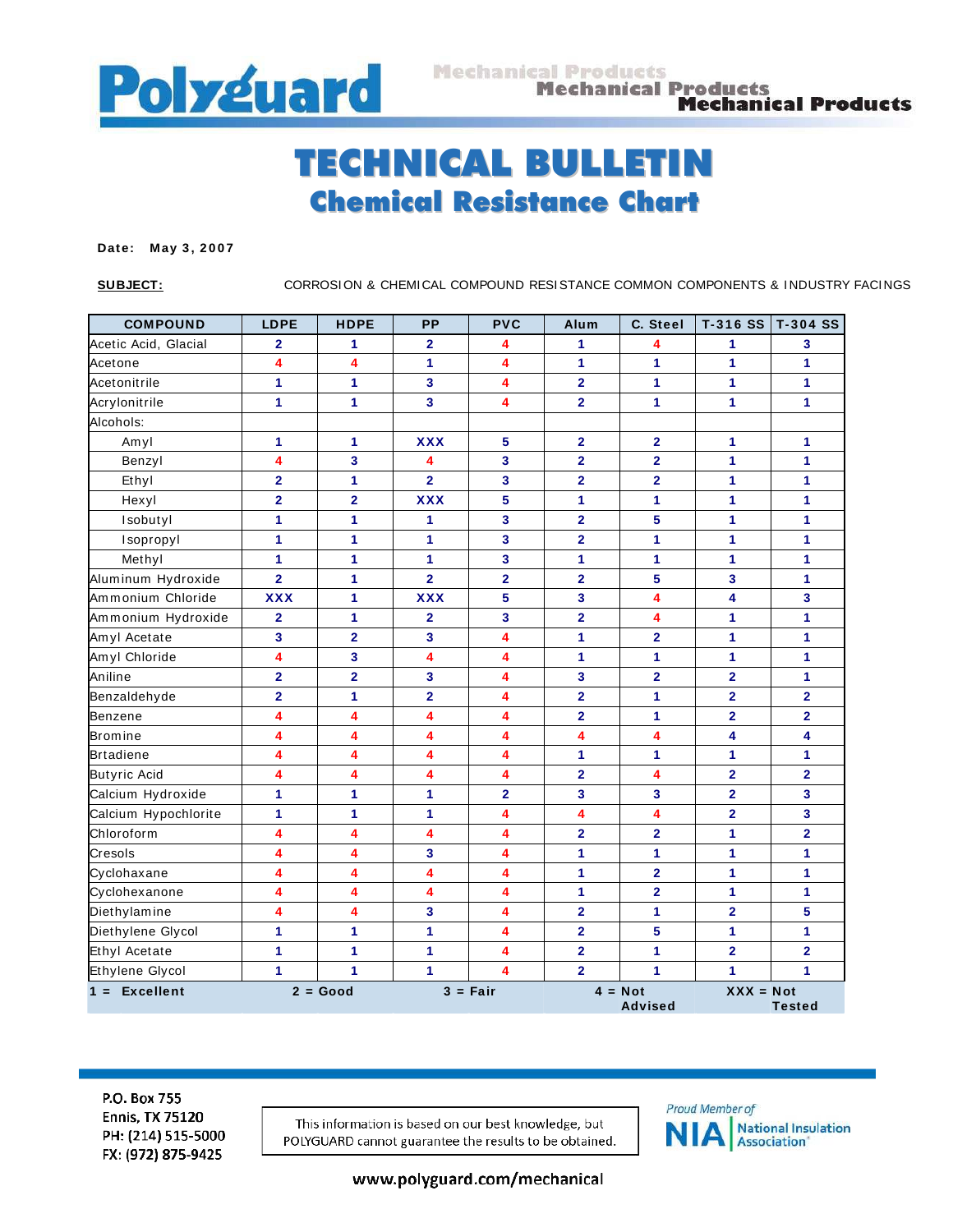

## TECHNICAL BULLETIN Chemical Resistance Chart

## Date: May 3, 2007

**SUBJECT:** CORROSION & CHEMICAL COMPOUND RESISTANCE COMMON COMPONENTS & INDUSTRY FACINGS

| <b>COMPOUND</b>      | <b>LDPE</b>             | <b>HDPE</b>             | PP                      | <b>PVC</b>              | Alum                        | C. Steel                | T-316 SS                | T-304 SS                |  |
|----------------------|-------------------------|-------------------------|-------------------------|-------------------------|-----------------------------|-------------------------|-------------------------|-------------------------|--|
| Acetic Acid, Glacial | $\mathbf{2}$            | 1                       | $\mathbf{2}$            | 4                       | 1                           | 4                       | 1                       | 3                       |  |
| Acetone              | 4                       | 4                       | 1                       | 4                       | 1                           | 1                       | 1                       | 1                       |  |
| Acetonitrile         | 1                       | 1                       | 3                       | 4                       | $\overline{2}$              | 1                       | 1                       | $\mathbf{1}$            |  |
| Acrylonitrile        | $\mathbf{1}$            | 1                       | 3                       | 4                       | $\overline{2}$              | $\mathbf{1}$            | 1                       | 1                       |  |
| Alcohols:            |                         |                         |                         |                         |                             |                         |                         |                         |  |
| Amyl                 | $\mathbf{1}$            | 1                       | <b>XXX</b>              | 5                       | $\overline{2}$              | $\overline{2}$          | 1                       | 1                       |  |
| Benzyl               | 4                       | $\overline{\mathbf{3}}$ | 4                       | 3                       | $\overline{\mathbf{2}}$     | $\overline{2}$          | 1                       | 1                       |  |
| Ethyl                | $\mathbf{2}$            | $\mathbf{1}$            | $\overline{2}$          | 3                       | $\mathbf{2}$                | $\overline{2}$          | 1                       | 1                       |  |
| Hexyl                | $\overline{\mathbf{2}}$ | $\overline{2}$          | <b>XXX</b>              | 5                       | 1                           | 1                       | 1                       | 1                       |  |
| Isobutyl             | $\mathbf{1}$            | 1                       | 1                       | 3                       | $\overline{\mathbf{2}}$     | 5                       | 1                       | 1                       |  |
| Isopropyl            | 1                       | 1                       | 1                       | 3                       | $\overline{\mathbf{2}}$     | $\mathbf{1}$            | 1                       | 1                       |  |
| Methyl               | 1                       | 1                       | 1                       | 3                       | 1                           | 1                       | 1                       | 1                       |  |
| Aluminum Hydroxide   | $\overline{\mathbf{2}}$ | 1                       | $\overline{2}$          | $\overline{\mathbf{2}}$ | $\overline{\mathbf{2}}$     | 5                       | 3                       | 1                       |  |
| Ammonium Chloride    | <b>XXX</b>              | 1                       | <b>XXX</b>              | 5                       | $\mathbf{3}$                | 4                       | 4                       | $\mathbf{3}$            |  |
| Ammonium Hydroxide   | $\overline{\mathbf{2}}$ | 1                       | $\overline{\mathbf{2}}$ | 3                       | $\overline{\mathbf{2}}$     | 4                       | 1                       | 1                       |  |
| Amyl Acetate         | 3                       | $\overline{\mathbf{2}}$ | 3                       | 4                       | 1                           | $\overline{\mathbf{2}}$ | 1                       | 1                       |  |
| Amyl Chloride        | 4                       | $\overline{\mathbf{3}}$ | 4                       | 4                       | 1                           | 1                       | 1                       | 1                       |  |
| Aniline              | $\overline{2}$          | $\overline{\mathbf{2}}$ | 3                       | 4                       | 3                           | $\overline{2}$          | $\overline{2}$          | 1                       |  |
| Benzaldehyde         | $\overline{2}$          | 1                       | $\overline{2}$          | 4                       | $\overline{\mathbf{2}}$     | 1                       | $\overline{2}$          | $\overline{2}$          |  |
| Benzene              | 4                       | 4                       | 4                       | 4                       | $\overline{2}$              | 1                       | $\overline{2}$          | $\overline{2}$          |  |
| <b>Bromine</b>       | 4                       | 4                       | 4                       | 4                       | 4                           | 4                       | 4                       | 4                       |  |
| <b>Brtadiene</b>     | 4                       | $\overline{\mathbf{4}}$ | 4                       | 4                       | 1                           | 1                       | 1                       | 1                       |  |
| <b>Butyric Acid</b>  | 4                       | 4                       | 4                       | 4                       | $\overline{\mathbf{2}}$     | 4                       | $\overline{\mathbf{2}}$ | $\overline{2}$          |  |
| Calcium Hydroxide    | 1                       | 1                       | 1                       | $\overline{2}$          | 3                           | $\overline{\mathbf{3}}$ | $\overline{2}$          | $\overline{\mathbf{3}}$ |  |
| Calcium Hypochlorite | 1                       | 1                       | 1                       | 4                       | 4                           | 4                       | $\overline{\mathbf{2}}$ | $\mathbf{3}$            |  |
| Chloroform           | 4                       | 4                       | 4                       | 4                       | $\mathbf{2}$                | $\overline{\mathbf{2}}$ | 1                       | $\overline{2}$          |  |
| Cresols              | 4                       | 4                       | 3                       | 4                       | 1                           | $\mathbf{1}$            | 1                       | 1                       |  |
| Cyclohaxane          | 4                       | 4                       | 4                       | 4                       | 1                           | $\overline{2}$          | 1                       | 1                       |  |
| Cyclohexanone        | 4                       | $\overline{\mathbf{4}}$ | 4                       | 4                       | 1                           | $\overline{\mathbf{2}}$ | 1                       | 1                       |  |
| Diethylamine         | 4                       | 4                       | 3                       | 4                       | $\mathbf{2}$                | 1                       | $\mathbf{2}$            | 5                       |  |
| Diethylene Glycol    | 1                       | 1                       | 1                       | 4                       | $\overline{2}$              | 5                       | 1                       | 1                       |  |
| <b>Ethyl Acetate</b> | 1                       | 1                       | 1                       | 4                       | $\overline{\mathbf{2}}$     | 1                       | $\overline{\mathbf{2}}$ | $\overline{2}$          |  |
| Ethylene Glycol      | $\mathbf{1}$            | 1                       | 1                       | 4                       | $\overline{2}$              | $\mathbf{1}$            | 1                       | 1                       |  |
| $1 = Excellent$      |                         | $2 = Good$              |                         | $3 = Fair$              | $4 = Not$<br><b>Advised</b> |                         | $XXX = Not$             | <b>Tested</b>           |  |

P.O. Box 755 **Ennis, TX 75120** PH: (214) 515-5000 FX: (972) 875-9425

This information is based on our best knowledge, but POLYGUARD cannot guarantee the results to be obtained.



www.polyguard.com/mechanical